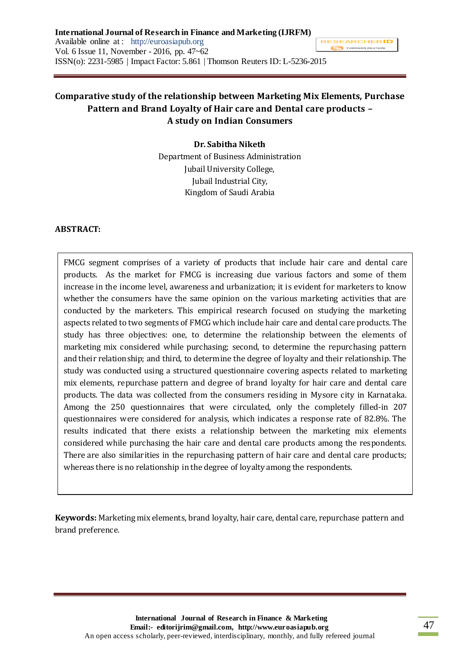# **Comparative study of the relationship between Marketing Mix Elements, Purchase Pattern and Brand Loyalty of Hair care and Dental care products – A study on Indian Consumers**

**Dr. Sabitha Niketh** Department of Business Administration Jubail University College, Jubail Industrial City, Kingdom of Saudi Arabia

### **ABSTRACT:**

FMCG segment comprises of a variety of products that include hair care and dental care products. As the market for FMCG is increasing due various factors and some of them increase in the income level, awareness and urbanization; it is evident for marketers to know whether the consumers have the same opinion on the various marketing activities that are conducted by the marketers. This empirical research focused on studying the marketing aspects related to two segments of FMCG which include hair care and dental care products. The study has three objectives: one, to determine the relationship between the elements of marketing mix considered while purchasing; second, to determine the repurchasing pattern and their relationship; and third, to determine the degree of loyalty and their relationship. The study was conducted using a structured questionnaire covering aspects related to marketing mix elements, repurchase pattern and degree of brand loyalty for hair care and dental care products. The data was collected from the consumers residing in Mysore city in Karnataka. Among the 250 questionnaires that were circulated, only the completely filled-in 207 questionnaires were considered for analysis, which indicates a response rate of 82.8%. The results indicated that there exists a relationship between the marketing mix elements considered while purchasing the hair care and dental care products among the respondents. There are also similarities in the repurchasing pattern of hair care and dental care products; whereas there is no relationship in the degree of loyalty among the respondents.

**Keywords:** Marketing mix elements, brand loyalty, hair care, dental care, repurchase pattern and brand preference.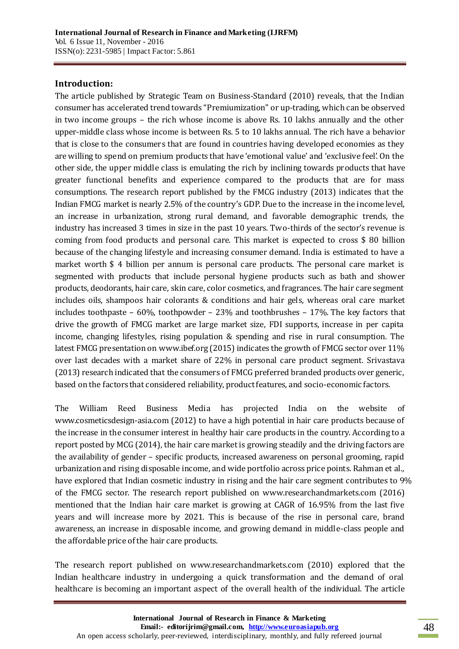## **Introduction:**

The article published by Strategic Team on Business-Standard (2010) reveals, that the Indian consumer has accelerated trend towards "Premiumization" or up-trading, which can be observed in two income groups – the rich whose income is above Rs. 10 lakhs annually and the other upper-middle class whose income is between Rs. 5 to 10 lakhs annual. The rich have a behavior that is close to the consumers that are found in countries having developed economies as they are willing to spend on premium products that have 'emotional value' and 'exclusive feel'. On the other side, the upper middle class is emulating the rich by inclining towards products that have greater functional benefits and experience compared to the products that are for mass consumptions. The research report published by the FMCG industry (2013) indicates that the Indian FMCG market is nearly 2.5% of the country's GDP. Due to the increase in the income level, an increase in urbanization, strong rural demand, and favorable demographic trends, the industry has increased 3 times in size in the past 10 years. Two-thirds of the sector's revenue is coming from food products and personal care. This market is expected to cross \$ 80 billion because of the changing lifestyle and increasing consumer demand. India is estimated to have a market worth \$ 4 billion per annum is personal care products. The personal care market is segmented with products that include personal hygiene products such as bath and shower products, deodorants, hair care, skin care, color cosmetics, and fragrances. The hair care segment includes oils, shampoos hair colorants & conditions and hair gels, whereas oral care market includes toothpaste – 60%, toothpowder – 23% and toothbrushes – 17%. The key factors that drive the growth of FMCG market are large market size, FDI supports, increase in per capita income, changing lifestyles, rising population & spending and rise in rural consumption. The latest FMCG presentation on www.ibef.org (2015) indicates the growth of FMCG sector over 11% over last decades with a market share of 22% in personal care product segment. Srivastava (2013) research indicated that the consumers of FMCG preferred branded products over generic, based on the factors that considered reliability, product features, and socio-economic factors.

The William Reed Business Media has projected India on the website of www.cosmeticsdesign-asia.com (2012) to have a high potential in hair care products because of the increase in the consumer interest in healthy hair care products in the country. According to a report posted by MCG (2014), the hair care market is growing steadily and the driving factors are the availability of gender – specific products, increased awareness on personal grooming, rapid urbanization and rising disposable income, and wide portfolio across price points. Rahman et al., have explored that Indian cosmetic industry in rising and the hair care segment contributes to 9% of the FMCG sector. The research report published on www.researchandmarkets.com (2016) mentioned that the Indian hair care market is growing at CAGR of 16.95% from the last five years and will increase more by 2021. This is because of the rise in personal care, brand awareness, an increase in disposable income, and growing demand in middle-class people and the affordable price of the hair care products.

The research report published on www.researchandmarkets.com (2010) explored that the Indian healthcare industry in undergoing a quick transformation and the demand of oral healthcare is becoming an important aspect of the overall health of the individual. The article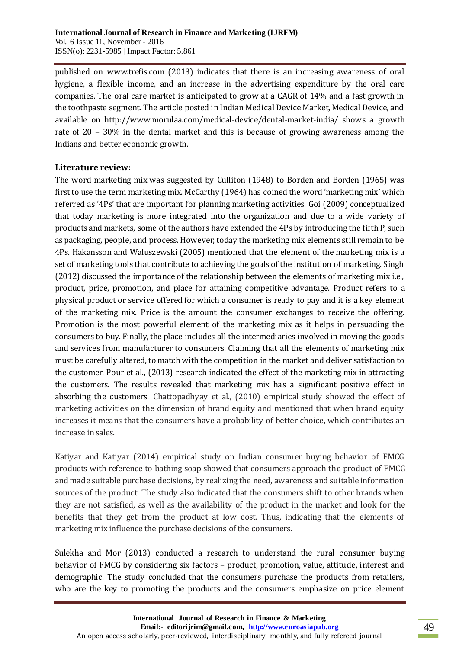published on www.trefis.com (2013) indicates that there is an increasing awareness of oral hygiene, a flexible income, and an increase in the advertising expenditure by the oral care companies. The oral care market is anticipated to grow at a CAGR of 14% and a fast growth in the toothpaste segment. The article posted in Indian Medical Device Market, Medical Device, and available on http://www.morulaa.com/medical-device/dental-market-india/ shows a growth rate of 20 – 30% in the dental market and this is because of growing awareness among the Indians and better economic growth.

# **Literature review:**

The word marketing mix was suggested by Culliton (1948) to Borden and Borden (1965) was first to use the term marketing mix. McCarthy (1964) has coined the word 'marketing mix' which referred as '4Ps' that are important for planning marketing activities. Goi (2009) conceptualized that today marketing is more integrated into the organization and due to a wide variety of products and markets, some of the authors have extended the 4Ps by introducing the fifth P, such as packaging, people, and process. However, today the marketing mix elements still remain to be 4Ps. Hakansson and Waluszewski (2005) mentioned that the element of the marketing mix is a set of marketing tools that contribute to achieving the goals of the institution of marketing. Singh (2012) discussed the importance of the relationship between the elements of marketing mix i.e., product, price, promotion, and place for attaining competitive advantage. Product refers to a physical product or service offered for which a consumer is ready to pay and it is a key element of the marketing mix. Price is the amount the consumer exchanges to receive the offering. Promotion is the most powerful element of the marketing mix as it helps in persuading the consumers to buy. Finally, the place includes all the intermediaries involved in moving the goods and services from manufacturer to consumers. Claiming that all the elements of marketing mix must be carefully altered, to match with the competition in the market and deliver satisfaction to the customer. Pour et al., (2013) research indicated the effect of the marketing mix in attracting the customers. The results revealed that marketing mix has a significant positive effect in absorbing the customers. Chattopadhyay et al., (2010) empirical study showed the effect of marketing activities on the dimension of brand equity and mentioned that when brand equity increases it means that the consumers have a probability of better choice, which contributes an increase in sales.

Katiyar and Katiyar (2014) empirical study on Indian consumer buying behavior of FMCG products with reference to bathing soap showed that consumers approach the product of FMCG and made suitable purchase decisions, by realizing the need, awareness and suitable information sources of the product. The study also indicated that the consumers shift to other brands when they are not satisfied, as well as the availability of the product in the market and look for the benefits that they get from the product at low cost. Thus, indicating that the elements of marketing mix influence the purchase decisions of the consumers.

Sulekha and Mor (2013) conducted a research to understand the rural consumer buying behavior of FMCG by considering six factors – product, promotion, value, attitude, interest and demographic. The study concluded that the consumers purchase the products from retailers, who are the key to promoting the products and the consumers emphasize on price element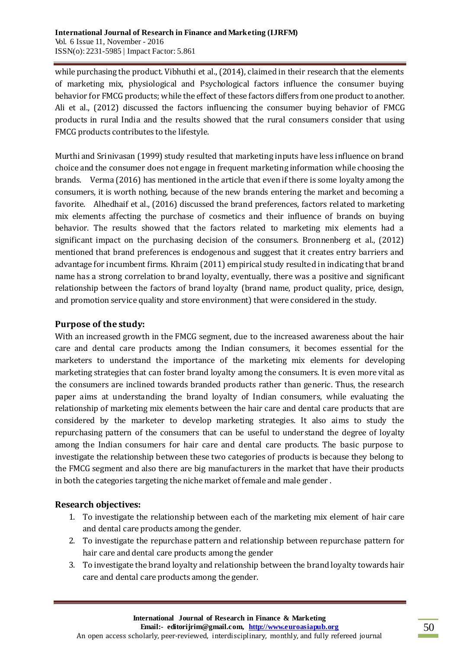while purchasing the product. Vibhuthi et al., (2014), claimed in their research that the elements of marketing mix, physiological and Psychological factors influence the consumer buying behavior for FMCG products; while the effect of these factors differs from one product to another. Ali et al., (2012) discussed the factors influencing the consumer buying behavior of FMCG products in rural India and the results showed that the rural consumers consider that using FMCG products contributes to the lifestyle.

Murthi and Srinivasan (1999) study resulted that marketing inputs have less influence on brand choice and the consumer does not engage in frequent marketing information while choosing the brands. Verma (2016) has mentioned in the article that even if there is some loyalty among the consumers, it is worth nothing, because of the new brands entering the market and becoming a favorite. Alhedhaif et al., (2016) discussed the brand preferences, factors related to marketing mix elements affecting the purchase of cosmetics and their influence of brands on buying behavior. The results showed that the factors related to marketing mix elements had a significant impact on the purchasing decision of the consumers. Bronnenberg et al., (2012) mentioned that brand preferences is endogenous and suggest that it creates entry barriers and advantage for incumbent firms. Khraim (2011) empirical study resulted in indicating that brand name has a strong correlation to brand loyalty, eventually, there was a positive and significant relationship between the factors of brand loyalty (brand name, product quality, price, design, and promotion service quality and store environment) that were considered in the study.

## **Purpose of the study:**

With an increased growth in the FMCG segment, due to the increased awareness about the hair care and dental care products among the Indian consumers, it becomes essential for the marketers to understand the importance of the marketing mix elements for developing marketing strategies that can foster brand loyalty among the consumers. It is even more vital as the consumers are inclined towards branded products rather than generic. Thus, the research paper aims at understanding the brand loyalty of Indian consumers, while evaluating the relationship of marketing mix elements between the hair care and dental care products that are considered by the marketer to develop marketing strategies. It also aims to study the repurchasing pattern of the consumers that can be useful to understand the degree of loyalty among the Indian consumers for hair care and dental care products. The basic purpose to investigate the relationship between these two categories of products is because they belong to the FMCG segment and also there are big manufacturers in the market that have their products in both the categories targeting the niche market of female and male gender .

# **Research objectives:**

- 1. To investigate the relationship between each of the marketing mix element of hair care and dental care products among the gender.
- 2. To investigate the repurchase pattern and relationship between repurchase pattern for hair care and dental care products among the gender
- 3. To investigate the brand loyalty and relationship between the brand loyalty towards hair care and dental care products among the gender.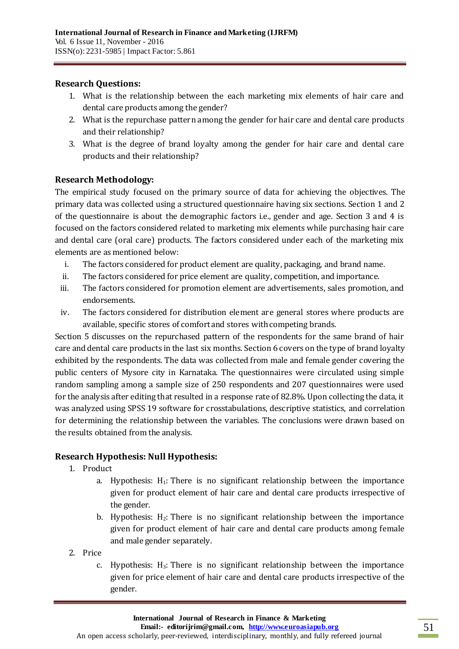# **Research Questions:**

- 1. What is the relationship between the each marketing mix elements of hair care and dental care products among the gender?
- 2. What is the repurchase pattern among the gender for hair care and dental care products and their relationship?
- 3. What is the degree of brand loyalty among the gender for hair care and dental care products and their relationship?

# **Research Methodology:**

The empirical study focused on the primary source of data for achieving the objectives. The primary data was collected using a structured questionnaire having six sections. Section 1 and 2 of the questionnaire is about the demographic factors i.e., gender and age. Section 3 and 4 is focused on the factors considered related to marketing mix elements while purchasing hair care and dental care (oral care) products. The factors considered under each of the marketing mix elements are as mentioned below:

- i. The factors considered for product element are quality, packaging, and brand name.
- ii. The factors considered for price element are quality, competition, and importance.
- iii. The factors considered for promotion element are advertisements, sales promotion, and endorsements.
- iv. The factors considered for distribution element are general stores where products are available, specific stores of comfort and stores with competing brands.

Section 5 discusses on the repurchased pattern of the respondents for the same brand of hair care and dental care products in the last six months. Section 6 covers on the type of brand loyalty exhibited by the respondents. The data was collected from male and female gender covering the public centers of Mysore city in Karnataka. The questionnaires were circulated using simple random sampling among a sample size of 250 respondents and 207 questionnaires were used for the analysis after editing that resulted in a response rate of 82.8%. Upon collecting the data, it was analyzed using SPSS 19 software for crosstabulations, descriptive statistics, and correlation for determining the relationship between the variables. The conclusions were drawn based on the results obtained from the analysis.

# **Research Hypothesis: Null Hypothesis:**

- 1. Product
	- a. Hypothesis:  $H_1$ : There is no significant relationship between the importance given for product element of hair care and dental care products irrespective of the gender.
	- b. Hypothesis:  $H_2$ : There is no significant relationship between the importance given for product element of hair care and dental care products among female and male gender separately.
- 2. Price
	- c. Hypothesis:  $H_3$ : There is no significant relationship between the importance given for price element of hair care and dental care products irrespective of the gender.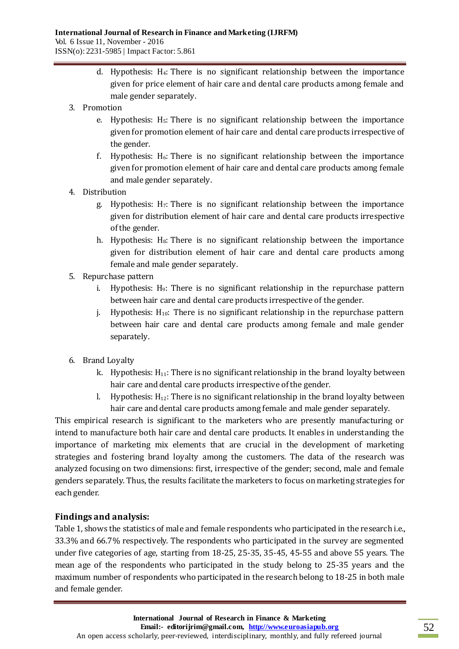- d. Hypothesis: H4: There is no significant relationship between the importance given for price element of hair care and dental care products among female and male gender separately.
- 3. Promotion
	- e. Hypothesis: H<sub>5</sub>: There is no significant relationship between the importance given for promotion element of hair care and dental care products irrespective of the gender.
	- f. Hypothesis:  $H_6$ : There is no significant relationship between the importance given for promotion element of hair care and dental care products among female and male gender separately.
- 4. Distribution
	- g. Hypothesis:  $H_7$ : There is no significant relationship between the importance given for distribution element of hair care and dental care products irrespective of the gender.
	- h. Hypothesis: H<sub>8</sub>: There is no significant relationship between the importance given for distribution element of hair care and dental care products among female and male gender separately.
- 5. Repurchase pattern
	- i. Hypothesis:  $H_9$ : There is no significant relationship in the repurchase pattern between hair care and dental care products irrespective of the gender.
	- j. Hypothesis:  $H_{10}$ : There is no significant relationship in the repurchase pattern between hair care and dental care products among female and male gender separately.
- 6. Brand Loyalty
	- k. Hypothesis:  $H_{11}$ : There is no significant relationship in the brand loyalty between hair care and dental care products irrespective of the gender.
	- l. Hypothesis:  $H_{12}$ : There is no significant relationship in the brand loyalty between hair care and dental care products among female and male gender separately.

This empirical research is significant to the marketers who are presently manufacturing or intend to manufacture both hair care and dental care products. It enables in understanding the importance of marketing mix elements that are crucial in the development of marketing strategies and fostering brand loyalty among the customers. The data of the research was analyzed focusing on two dimensions: first, irrespective of the gender; second, male and female genders separately. Thus, the results facilitate the marketers to focus on marketing strategies for each gender.

# **Findings and analysis:**

Table 1, shows the statistics of male and female respondents who participated in the research i.e., 33.3% and 66.7% respectively. The respondents who participated in the survey are segmented under five categories of age, starting from 18-25, 25-35, 35-45, 45-55 and above 55 years. The mean age of the respondents who participated in the study belong to 25-35 years and the maximum number of respondents who participated in the research belong to 18-25 in both male and female gender.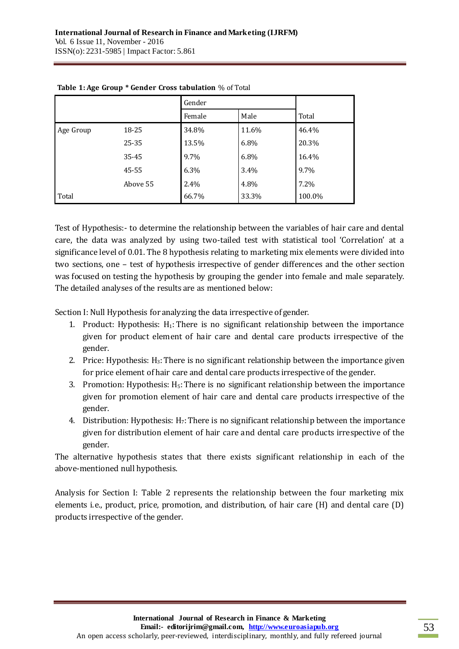|           |          | Gender |       |        |
|-----------|----------|--------|-------|--------|
|           |          | Female | Male  | Total  |
| Age Group | 18-25    | 34.8%  | 11.6% | 46.4%  |
|           | 25-35    | 13.5%  | 6.8%  | 20.3%  |
|           | 35-45    | 9.7%   | 6.8%  | 16.4%  |
|           | 45-55    | 6.3%   | 3.4%  | 9.7%   |
|           | Above 55 | 2.4%   | 4.8%  | 7.2%   |
| Total     |          | 66.7%  | 33.3% | 100.0% |

### **Table 1: Age Group \* Gender Cross tabulation** % of Total

Test of Hypothesis:- to determine the relationship between the variables of hair care and dental care, the data was analyzed by using two-tailed test with statistical tool 'Correlation' at a significance level of 0.01. The 8 hypothesis relating to marketing mix elements were divided into two sections, one – test of hypothesis irrespective of gender differences and the other section was focused on testing the hypothesis by grouping the gender into female and male separately. The detailed analyses of the results are as mentioned below:

Section I: Null Hypothesis for analyzing the data irrespective of gender.

- 1. Product: Hypothesis:  $H_1$ : There is no significant relationship between the importance given for product element of hair care and dental care products irrespective of the gender.
- 2. Price: Hypothesis: H3:There is no significant relationship between the importance given for price element of hair care and dental care products irrespective of the gender.
- 3. Promotion: Hypothesis:  $H_5$ : There is no significant relationship between the importance given for promotion element of hair care and dental care products irrespective of the gender.
- 4. Distribution: Hypothesis:  $H_7$ : There is no significant relationship between the importance given for distribution element of hair care and dental care products irrespective of the gender.

The alternative hypothesis states that there exists significant relationship in each of the above-mentioned null hypothesis.

Analysis for Section I: Table 2 represents the relationship between the four marketing mix elements i.e., product, price, promotion, and distribution, of hair care (H) and dental care (D) products irrespective of the gender.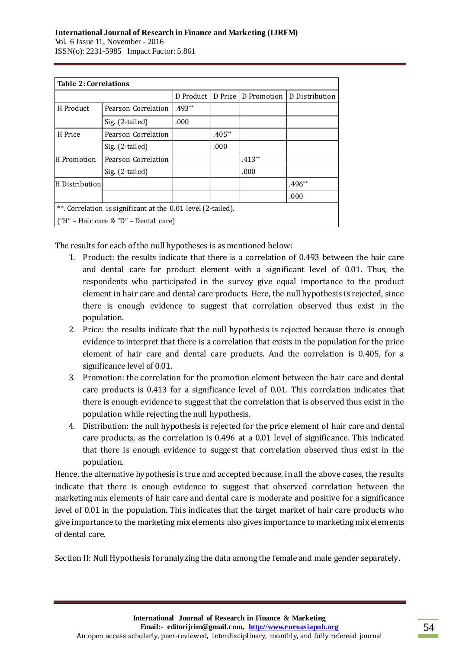| <b>Table 2: Correlations</b>                                 |                     |           |          |                     |                |  |
|--------------------------------------------------------------|---------------------|-----------|----------|---------------------|----------------|--|
|                                                              |                     | D Product |          | D Price D Promotion | D Distribution |  |
| H Product                                                    | Pearson Correlation | $.493**$  |          |                     |                |  |
|                                                              | Sig. (2-tailed)     | .000      |          |                     |                |  |
| H Price                                                      | Pearson Correlation |           | $.405**$ |                     |                |  |
|                                                              | Sig. (2-tailed)     |           | .000     |                     |                |  |
| H Promotion                                                  | Pearson Correlation |           |          | $.413**$            |                |  |
|                                                              | Sig. (2-tailed)     |           |          | .000                |                |  |
| H Distribution                                               |                     |           |          |                     | $.496**$       |  |
|                                                              |                     |           |          |                     | .000           |  |
| **. Correlation is significant at the 0.01 level (2-tailed). |                     |           |          |                     |                |  |
| ("H" – Hair care & "D" – Dental care)                        |                     |           |          |                     |                |  |

The results for each of the null hypotheses is as mentioned below:

- 1. Product: the results indicate that there is a correlation of 0.493 between the hair care and dental care for product element with a significant level of 0.01. Thus, the respondents who participated in the survey give equal importance to the product element in hair care and dental care products. Here, the null hypothesis is rejected, since there is enough evidence to suggest that correlation observed thus exist in the population.
- 2. Price: the results indicate that the null hypothesis is rejected because there is enough evidence to interpret that there is a correlation that exists in the population for the price element of hair care and dental care products. And the correlation is 0.405, for a significance level of 0.01.
- 3. Promotion: the correlation for the promotion element between the hair care and dental care products is 0.413 for a significance level of 0.01. This correlation indicates that there is enough evidence to suggest that the correlation that is observed thus exist in the population while rejecting the null hypothesis.
- 4. Distribution: the null hypothesis is rejected for the price element of hair care and dental care products, as the correlation is 0.496 at a 0.01 level of significance. This indicated that there is enough evidence to suggest that correlation observed thus exist in the population.

Hence, the alternative hypothesis is true and accepted because, in all the above cases, the results indicate that there is enough evidence to suggest that observed correlation between the marketing mix elements of hair care and dental care is moderate and positive for a significance level of 0.01 in the population. This indicates that the target market of hair care products who give importance to the marketing mix elements also gives importance to marketing mix elements of dental care.

Section II: Null Hypothesis for analyzing the data among the female and male gender separately.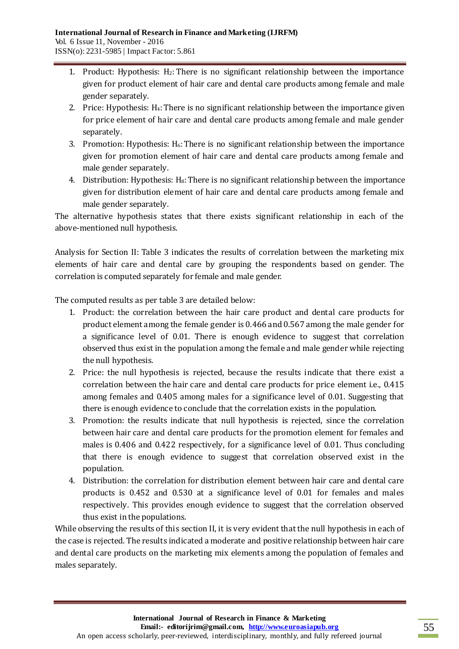- 1. Product: Hypothesis:  $H_2$ : There is no significant relationship between the importance given for product element of hair care and dental care products among female and male gender separately.
- 2. Price: Hypothesis: H4:There is no significant relationship between the importance given for price element of hair care and dental care products among female and male gender separately.
- 3. Promotion: Hypothesis:  $H_6$ : There is no significant relationship between the importance given for promotion element of hair care and dental care products among female and male gender separately.
- 4. Distribution: Hypothesis:  $H_8$ : There is no significant relationship between the importance given for distribution element of hair care and dental care products among female and male gender separately.

The alternative hypothesis states that there exists significant relationship in each of the above-mentioned null hypothesis.

Analysis for Section II: Table 3 indicates the results of correlation between the marketing mix elements of hair care and dental care by grouping the respondents based on gender. The correlation is computed separately for female and male gender.

The computed results as per table 3 are detailed below:

- 1. Product: the correlation between the hair care product and dental care products for product element among the female gender is 0.466 and 0.567 among the male gender for a significance level of 0.01. There is enough evidence to suggest that correlation observed thus exist in the population among the female and male gender while rejecting the null hypothesis.
- 2. Price: the null hypothesis is rejected, because the results indicate that there exist a correlation between the hair care and dental care products for price element i.e., 0.415 among females and 0.405 among males for a significance level of 0.01. Suggesting that there is enough evidence to conclude that the correlation exists in the population.
- 3. Promotion: the results indicate that null hypothesis is rejected, since the correlation between hair care and dental care products for the promotion element for females and males is 0.406 and 0.422 respectively, for a significance level of 0.01. Thus concluding that there is enough evidence to suggest that correlation observed exist in the population.
- 4. Distribution: the correlation for distribution element between hair care and dental care products is 0.452 and 0.530 at a significance level of 0.01 for females and males respectively. This provides enough evidence to suggest that the correlation observed thus exist in the populations.

While observing the results of this section II, it is very evident that the null hypothesis in each of the case is rejected. The results indicated a moderate and positive relationship between hair care and dental care products on the marketing mix elements among the population of females and males separately.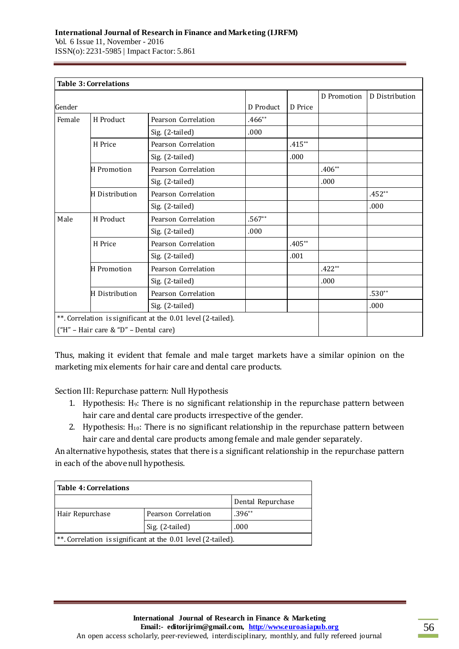Vol. 6 Issue 11, November - 2016 ISSN(o): 2231-5985 | Impact Factor: 5.861

|        | <b>Table 3: Correlations</b>          |                                                              |           |           |             |                |
|--------|---------------------------------------|--------------------------------------------------------------|-----------|-----------|-------------|----------------|
|        |                                       |                                                              |           |           | D Promotion | D Distribution |
| Gender |                                       |                                                              | D Product | D Price   |             |                |
| Female | H Product                             | Pearson Correlation                                          | $.466**$  |           |             |                |
|        |                                       | Sig. (2-tailed)                                              | .000      |           |             |                |
|        | H Price                               | Pearson Correlation                                          |           | $.415***$ |             |                |
|        |                                       | Sig. (2-tailed)                                              |           | .000      |             |                |
|        | H Promotion                           | Pearson Correlation                                          |           |           | $.406**$    |                |
|        |                                       | Sig. (2-tailed)                                              |           |           | .000        |                |
|        | H Distribution                        | Pearson Correlation                                          |           |           |             | $.452**$       |
|        |                                       | Sig. (2-tailed)                                              |           |           |             | .000           |
| Male   | H Product                             | Pearson Correlation                                          | $.567**$  |           |             |                |
|        |                                       | Sig. (2-tailed)                                              | .000      |           |             |                |
|        | H Price                               | Pearson Correlation                                          |           | $.405**$  |             |                |
|        |                                       | Sig. (2-tailed)                                              |           | .001      |             |                |
|        | <b>H</b> Promotion                    | Pearson Correlation                                          |           |           | $.422**$    |                |
|        |                                       | Sig. (2-tailed)                                              |           |           | .000        |                |
|        | H Distribution                        | Pearson Correlation                                          |           |           |             | $.530**$       |
|        |                                       | Sig. (2-tailed)                                              |           |           |             | .000           |
|        |                                       | **. Correlation is significant at the 0.01 level (2-tailed). |           |           |             |                |
|        | ("H" - Hair care & "D" - Dental care) |                                                              |           |           |             |                |

Thus, making it evident that female and male target markets have a similar opinion on the marketing mix elements for hair care and dental care products.

Section III: Repurchase pattern: Null Hypothesis

- 1. Hypothesis: H9: There is no significant relationship in the repurchase pattern between hair care and dental care products irrespective of the gender.
- 2. Hypothesis:  $H_{10}$ : There is no significant relationship in the repurchase pattern between hair care and dental care products among female and male gender separately.

An alternative hypothesis, states that there is a significant relationship in the repurchase pattern in each of the above null hypothesis.

| <b>Table 4: Correlations</b>                                 |                     |                   |  |  |  |
|--------------------------------------------------------------|---------------------|-------------------|--|--|--|
|                                                              |                     | Dental Repurchase |  |  |  |
| Hair Repurchase                                              | Pearson Correlation | $.396**$          |  |  |  |
|                                                              | Sig. (2-tailed)     | .000              |  |  |  |
| **. Correlation is significant at the 0.01 level (2-tailed). |                     |                   |  |  |  |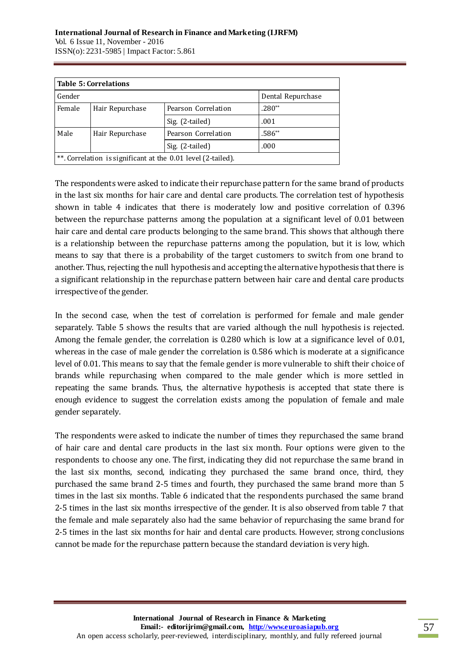|        | <b>Table 5: Correlations</b> |                                                              |                   |  |  |  |
|--------|------------------------------|--------------------------------------------------------------|-------------------|--|--|--|
| Gender |                              |                                                              | Dental Repurchase |  |  |  |
| Female | Hair Repurchase              | Pearson Correlation                                          | $.280**$          |  |  |  |
|        |                              | Sig. (2-tailed)                                              | .001              |  |  |  |
| Male   | Hair Repurchase              | Pearson Correlation                                          | .586**            |  |  |  |
|        |                              | Sig. (2-tailed)                                              | .000              |  |  |  |
|        |                              | **. Correlation is significant at the 0.01 level (2-tailed). |                   |  |  |  |

The respondents were asked to indicate their repurchase pattern for the same brand of products in the last six months for hair care and dental care products. The correlation test of hypothesis shown in table 4 indicates that there is moderately low and positive correlation of 0.396 between the repurchase patterns among the population at a significant level of 0.01 between hair care and dental care products belonging to the same brand. This shows that although there is a relationship between the repurchase patterns among the population, but it is low, which means to say that there is a probability of the target customers to switch from one brand to another. Thus, rejecting the null hypothesis and accepting the alternative hypothesis that there is a significant relationship in the repurchase pattern between hair care and dental care products irrespective of the gender.

In the second case, when the test of correlation is performed for female and male gender separately. Table 5 shows the results that are varied although the null hypothesis is rejected. Among the female gender, the correlation is 0.280 which is low at a significance level of 0.01, whereas in the case of male gender the correlation is 0.586 which is moderate at a significance level of 0.01. This means to say that the female gender is more vulnerable to shift their choice of brands while repurchasing when compared to the male gender which is more settled in repeating the same brands. Thus, the alternative hypothesis is accepted that state there is enough evidence to suggest the correlation exists among the population of female and male gender separately.

The respondents were asked to indicate the number of times they repurchased the same brand of hair care and dental care products in the last six month. Four options were given to the respondents to choose any one. The first, indicating they did not repurchase the same brand in the last six months, second, indicating they purchased the same brand once, third, they purchased the same brand 2-5 times and fourth, they purchased the same brand more than 5 times in the last six months. Table 6 indicated that the respondents purchased the same brand 2-5 times in the last six months irrespective of the gender. It is also observed from table 7 that the female and male separately also had the same behavior of repurchasing the same brand for 2-5 times in the last six months for hair and dental care products. However, strong conclusions cannot be made for the repurchase pattern because the standard deviation is very high.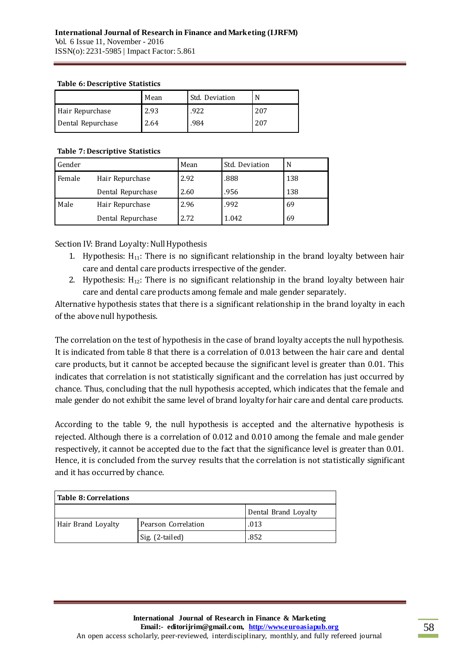#### **Table 6: Descriptive Statistics**

|                   | Mean | Std. Deviation |     |
|-------------------|------|----------------|-----|
| Hair Repurchase   | 2.93 | .922           | 207 |
| Dental Repurchase | 2.64 | .984           | 207 |

### **Table 7: Descriptive Statistics**

| Gender |                   | Mean | Std. Deviation | N   |
|--------|-------------------|------|----------------|-----|
| Female | Hair Repurchase   | 2.92 | .888           | 138 |
|        | Dental Repurchase | 2.60 | .956           | 138 |
| Male   | Hair Repurchase   | 2.96 | .992           | 69  |
|        | Dental Repurchase | 2.72 | 1.042          | 69  |

Section IV: Brand Loyalty: Null Hypothesis

- 1. Hypothesis:  $H_{11}$ : There is no significant relationship in the brand loyalty between hair care and dental care products irrespective of the gender.
- 2. Hypothesis:  $H_{12}$ : There is no significant relationship in the brand loyalty between hair care and dental care products among female and male gender separately.

Alternative hypothesis states that there is a significant relationship in the brand loyalty in each of the above null hypothesis.

The correlation on the test of hypothesis in the case of brand loyalty accepts the null hypothesis. It is indicated from table 8 that there is a correlation of 0.013 between the hair care and dental care products, but it cannot be accepted because the significant level is greater than 0.01. This indicates that correlation is not statistically significant and the correlation has just occurred by chance. Thus, concluding that the null hypothesis accepted, which indicates that the female and male gender do not exhibit the same level of brand loyalty for hair care and dental care products.

According to the table 9, the null hypothesis is accepted and the alternative hypothesis is rejected. Although there is a correlation of 0.012 and 0.010 among the female and male gender respectively, it cannot be accepted due to the fact that the significance level is greater than 0.01. Hence, it is concluded from the survey results that the correlation is not statistically significant and it has occurred by chance.

| <b>Table 8: Correlations</b> |                     |                      |  |  |  |
|------------------------------|---------------------|----------------------|--|--|--|
|                              |                     | Dental Brand Loyalty |  |  |  |
| Hair Brand Loyalty           | Pearson Correlation | .013                 |  |  |  |
|                              | Sig. (2-tailed)     | .852                 |  |  |  |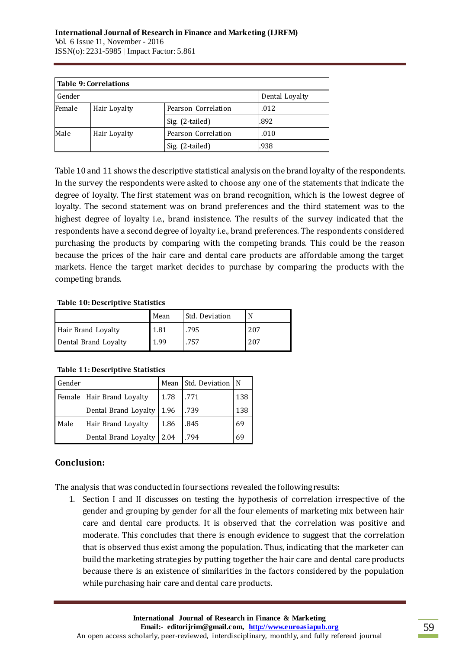| <b>Table 9: Correlations</b> |              |                     |                |  |  |
|------------------------------|--------------|---------------------|----------------|--|--|
| Gender                       |              |                     | Dental Loyalty |  |  |
| Female                       | Hair Loyalty | Pearson Correlation | .012           |  |  |
|                              |              | Sig. (2-tailed)     | .892           |  |  |
| Male                         | Hair Loyalty | Pearson Correlation | .010           |  |  |
|                              |              | Sig. (2-tailed)     | .938           |  |  |

Table 10 and 11 shows the descriptive statistical analysis on the brand loyalty of the respondents. In the survey the respondents were asked to choose any one of the statements that indicate the degree of loyalty. The first statement was on brand recognition, which is the lowest degree of loyalty. The second statement was on brand preferences and the third statement was to the highest degree of loyalty i.e., brand insistence. The results of the survey indicated that the respondents have a second degree of loyalty i.e., brand preferences. The respondents considered purchasing the products by comparing with the competing brands. This could be the reason because the prices of the hair care and dental care products are affordable among the target markets. Hence the target market decides to purchase by comparing the products with the competing brands.

### **Table 10: Descriptive Statistics**

|                      | Mean | Std. Deviation |     |
|----------------------|------|----------------|-----|
| Hair Brand Loyalty   | 1.81 | .795           | 207 |
| Dental Brand Loyalty | 1.99 | .757           | 207 |

### **Table 11: Descriptive Statistics**

| Gender |                           | Mean | Std. Deviation N |     |
|--------|---------------------------|------|------------------|-----|
|        | Female Hair Brand Loyalty | 1.78 | .771             | 138 |
|        | Dental Brand Loyalty 1.96 |      | .739             | 138 |
| Male   | Hair Brand Loyalty        | 1.86 | .845             | 69  |
|        | Dental Brand Loyalty 2.04 |      | .794             | 69  |

# **Conclusion:**

The analysis that was conducted in four sections revealed the following results:

1. Section I and II discusses on testing the hypothesis of correlation irrespective of the gender and grouping by gender for all the four elements of marketing mix between hair care and dental care products. It is observed that the correlation was positive and moderate. This concludes that there is enough evidence to suggest that the correlation that is observed thus exist among the population. Thus, indicating that the marketer can build the marketing strategies by putting together the hair care and dental care products because there is an existence of similarities in the factors considered by the population while purchasing hair care and dental care products.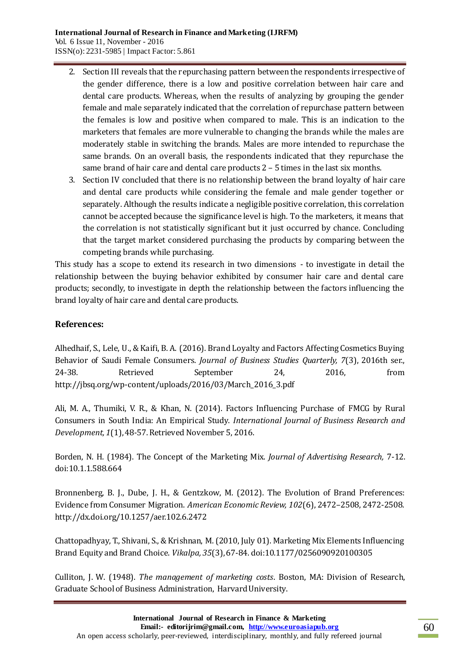- 2. Section III reveals that the repurchasing pattern between the respondents irrespective of the gender difference, there is a low and positive correlation between hair care and dental care products. Whereas, when the results of analyzing by grouping the gender female and male separately indicated that the correlation of repurchase pattern between the females is low and positive when compared to male. This is an indication to the marketers that females are more vulnerable to changing the brands while the males are moderately stable in switching the brands. Males are more intended to repurchase the same brands. On an overall basis, the respondents indicated that they repurchase the same brand of hair care and dental care products 2 – 5 times in the last six months.
- 3. Section IV concluded that there is no relationship between the brand loyalty of hair care and dental care products while considering the female and male gender together or separately. Although the results indicate a negligible positive correlation, this correlation cannot be accepted because the significance level is high. To the marketers, it means that the correlation is not statistically significant but it just occurred by chance. Concluding that the target market considered purchasing the products by comparing between the competing brands while purchasing.

This study has a scope to extend its research in two dimensions - to investigate in detail the relationship between the buying behavior exhibited by consumer hair care and dental care products; secondly, to investigate in depth the relationship between the factors influencing the brand loyalty of hair care and dental care products.

# **References:**

Alhedhaif, S., Lele, U., & Kaifi, B. A. (2016). Brand Loyalty and Factors Affecting Cosmetics Buying Behavior of Saudi Female Consumers. *Journal of Business Studies Quarterly, 7*(3), 2016th ser., 24-38. Retrieved September 24, 2016, from http://jbsq.org/wp-content/uploads/2016/03/March\_2016\_3.pdf

Ali, M. A., Thumiki, V. R., & Khan, N. (2014). Factors Influencing Purchase of FMCG by Rural Consumers in South India: An Empirical Study. *International Journal of Business Research and Development, 1*(1), 48-57. Retrieved November 5, 2016.

Borden, N. H. (1984). The Concept of the Marketing Mix. *Journal of Advertising Research,* 7-12. doi:10.1.1.588.664

Bronnenberg, B. J., Dube, J. H., & Gentzkow, M. (2012). The Evolution of Brand Preferences: Evidence from Consumer Migration. *American Economic Review, 102*(6), 2472–2508, 2472-2508. http://dx.doi.org/10.1257/aer.102.6.2472

Chattopadhyay, T., Shivani, S., & Krishnan, M. (2010, July 01). Marketing Mix Elements Influencing Brand Equity and Brand Choice. *Vikalpa, 35*(3), 67-84. doi:10.1177/0256090920100305

Culliton, J. W. (1948). *The management of marketing costs*. Boston, MA: Division of Research, Graduate School of Business Administration, Harvard University.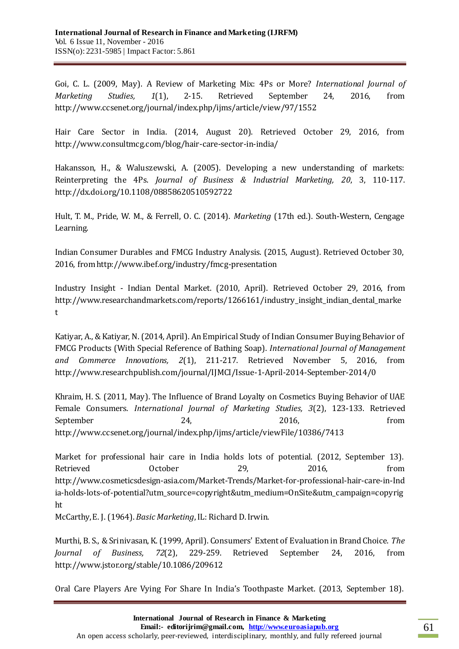Goi, C. L. (2009, May). A Review of Marketing Mix: 4Ps or More? *International Journal of Marketing Studies, 1*(1), 2-15. Retrieved September 24, 2016, from http://www.ccsenet.org/journal/index.php/ijms/article/view/97/1552

Hair Care Sector in India. (2014, August 20). Retrieved October 29, 2016, from http://www.consultmcg.com/blog/hair-care-sector-in-india/

Hakansson, H., & Waluszewski, A. (2005). Developing a new understanding of markets: Reinterpreting the 4Ps. *Journal of Business & Industrial Marketing, 20*, 3, 110-117. http://dx.doi.org/10.1108/08858620510592722

Hult, T. M., Pride, W. M., & Ferrell, O. C. (2014). *Marketing* (17th ed.). South-Western, Cengage Learning.

Indian Consumer Durables and FMCG Industry Analysis. (2015, August). Retrieved October 30, 2016, from http://www.ibef.org/industry/fmcg-presentation

Industry Insight - Indian Dental Market. (2010, April). Retrieved October 29, 2016, from http://www.researchandmarkets.com/reports/1266161/industry\_insight\_indian\_dental\_marke t

Katiyar, A., & Katiyar, N. (2014, April). An Empirical Study of Indian Consumer Buying Behavior of FMCG Products (With Special Reference of Bathing Soap). *International Journal of Management and Commerce Innovations, 2*(1), 211-217. Retrieved November 5, 2016, from http://www.researchpublish.com/journal/IJMCI/Issue-1-April-2014-September-2014/0

Khraim, H. S. (2011, May). The Influence of Brand Loyalty on Cosmetics Buying Behavior of UAE Female Consumers. *International Journal of Marketing Studies, 3*(2), 123-133. Retrieved September 24, 2016, from http://www.ccsenet.org/journal/index.php/ijms/article/viewFile/10386/7413

Market for professional hair care in India holds lots of potential. (2012, September 13). Retrieved October 29, 2016, from http://www.cosmeticsdesign-asia.com/Market-Trends/Market-for-professional-hair-care-in-Ind ia-holds-lots-of-potential?utm\_source=copyright&utm\_medium=OnSite&utm\_campaign=copyrig ht

McCarthy, E. J. (1964). *Basic Marketing*, IL: Richard D. Irwin.

Murthi, B. S., & Srinivasan, K. (1999, April). Consumers' Extent of Evaluation in Brand Choice. *The Journal of Business, 72*(2), 229-259. Retrieved September 24, 2016, from http://www.jstor.org/stable/10.1086/209612

Oral Care Players Are Vying For Share In India's Toothpaste Market. (2013, September 18).